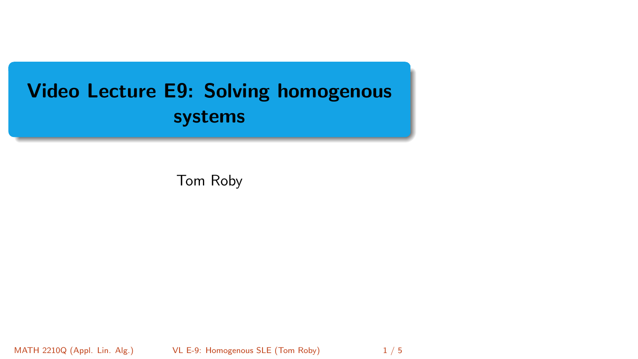# <span id="page-0-0"></span>Video Lecture E9: Solving homogenous systems

Tom Roby

MATH 2210Q (Appl. Lin. Alg.) [VL E-9: Homogenous SLE](#page-0-0) (Tom Roby) 1/5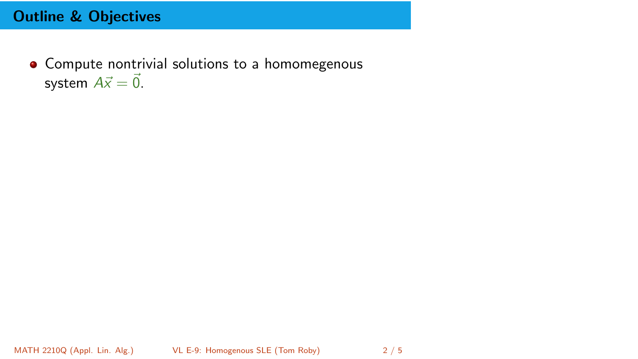## Outline & Objectives

• Compute nontrivial solutions to a homomegenous system  $A\vec{x} = \vec{0}$ .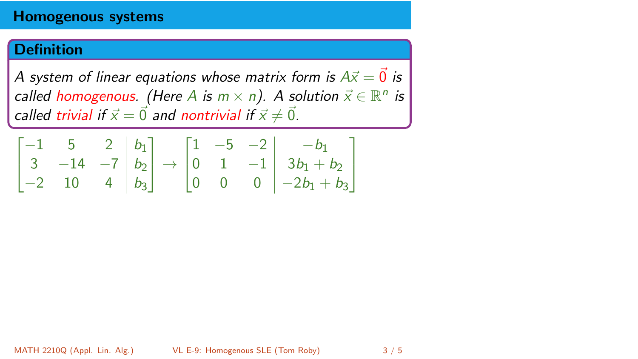#### Homogenous systems

### **Definition**

*A* system of linear equations whose matrix form is  $A\vec{x} = \vec{0}$  is *called homogenous.* (Here A *is*  $m \times n$ ). A solution  $\vec{x} \in \mathbb{R}^n$  *is called trivial if*  $\vec{x} = \vec{0}$  *and nontrivial if*  $\vec{x} \neq \vec{0}$ *.* 

$$
\begin{bmatrix} -1 & 5 & 2 & b_1 \ 3 & -14 & -7 & b_2 \ -2 & 10 & 4 & b_3 \end{bmatrix} \rightarrow \begin{bmatrix} 1 & -5 & -2 & -b_1 \ 0 & 1 & -1 & 3b_1 + b_2 \ 0 & 0 & 0 & -2b_1 + b_3 \end{bmatrix}
$$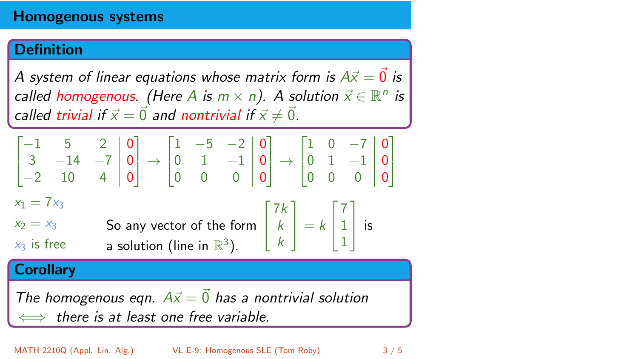#### Homogenous systems

## Definition

*A* system of linear equations whose matrix form is  $A\vec{x} = \vec{0}$  is *called homogenous.* (Here A *is*  $m \times n$ ). A solution  $\vec{x} \in \mathbb{R}^n$  *is called trivial if*  $\vec{x} = \vec{0}$  *and nontrivial if*  $\vec{x} \neq \vec{0}$ *.* 

$$
\begin{bmatrix} -1 & 5 & 2 & 0 \ 3 & -14 & -7 & 0 \ -2 & 10 & 4 & 0 \end{bmatrix} \rightarrow \begin{bmatrix} 1 & -5 & -2 & 0 \ 0 & 1 & -1 & 0 \ 0 & 0 & 0 & 0 \end{bmatrix} \rightarrow \begin{bmatrix} 1 & 0 & -7 & 0 \ 0 & 1 & -1 & 0 \ 0 & 0 & 0 & 0 \end{bmatrix}
$$

 $x_1 = 7x_3$ 

 $x_2 = x_3$ *x*<sup>3</sup> is free So any vector of the form  $\sqrt{2}$ 4 7*k* a solution (line in  $\mathbb{R}^3$ ).

### **Corollary**

*The homogenous eqn.*  $A\vec{x} = \vec{0}$  *has a nontrivial solution* () *there is at least one free variable.*

*k k* 1  $\vert = k$ 

1  $\vert$  is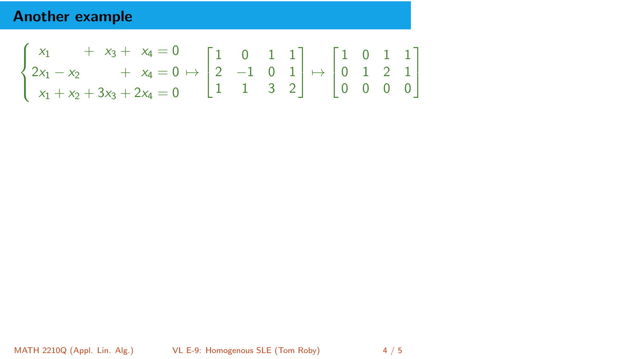## Another example

$$
\begin{cases} \begin{matrix} x_1 & + & x_3 + & x_4 = 0 \\ 2x_1 - x_2 & + & x_4 = 0 \end{matrix} \mapsto \begin{bmatrix} 1 & 0 & 1 & 1 \\ 2 & -1 & 0 & 1 \\ 1 & 1 & 3 & 2 \end{bmatrix} \mapsto \begin{bmatrix} 1 & 0 & 1 & 1 \\ 0 & 1 & 2 & 1 \\ 0 & 0 & 0 & 0 \end{bmatrix} \end{cases}
$$

MATH 2210Q (Appl. Lin. Alg.) [VL E-9: Homogenous SLE](#page-0-0) (Tom Roby) 4 / 5